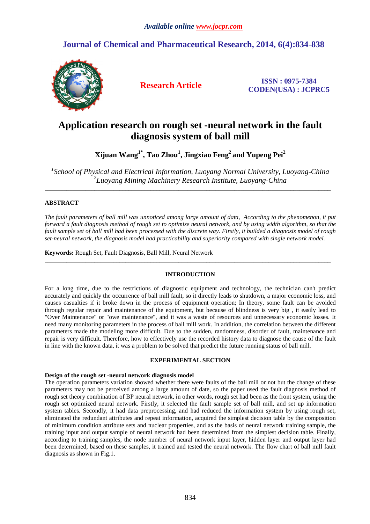# **Journal of Chemical and Pharmaceutical Research, 2014, 6(4):834-838**



**Research Article ISSN : 0975-7384 CODEN(USA) : JCPRC5**

# **Application research on rough set -neural network in the fault diagnosis system of ball mill**

**Xijuan Wang1\*, Tao Zhou<sup>1</sup> , Jingxiao Feng<sup>2</sup>and Yupeng Pei<sup>2</sup>**

<sup>1</sup> School of Physical and Electrical Information, Luoyang Normal University, Luoyang-China *2 Luoyang Mining Machinery Research Institute, Luoyang-China* 

\_\_\_\_\_\_\_\_\_\_\_\_\_\_\_\_\_\_\_\_\_\_\_\_\_\_\_\_\_\_\_\_\_\_\_\_\_\_\_\_\_\_\_\_\_\_\_\_\_\_\_\_\_\_\_\_\_\_\_\_\_\_\_\_\_\_\_\_\_\_\_\_\_\_\_\_\_\_\_\_\_\_\_\_\_\_\_\_\_\_\_\_

# **ABSTRACT**

*The fault parameters of ball mill was unnoticed among large amount of data, According to the phenomenon, it put forward a fault diagnosis method of rough set to optimize neural network, and by using width algorithm, so that the fault sample set of ball mill had been processed with the discrete way. Firstly, it builded a diagnosis model of rough set-neural network, the diagnosis model had practicability and superiority compared with single network model.* 

**Keywords:** Rough Set, Fault Diagnosis, Ball Mill, Neural Network

# **INTRODUCTION**

 $\overline{\phantom{a}}$  , and the contribution of the contribution of the contribution of the contribution of the contribution of the contribution of the contribution of the contribution of the contribution of the contribution of the

For a long time, due to the restrictions of diagnostic equipment and technology, the technician can't predict accurately and quickly the occurrence of ball mill fault, so it directly leads to shutdown, a major economic loss, and causes casualties if it broke down in the process of equipment operation; In theory, some fault can be avoided through regular repair and maintenance of the equipment, but because of blindness is very big , it easily lead to "Over Maintenance" or "owe maintenance", and it was a waste of resources and unnecessary economic losses. It need many monitoring parameters in the process of ball mill work. In addition, the correlation between the different parameters made the modeling more difficult. Due to the sudden, randomness, disorder of fault, maintenance and repair is very difficult. Therefore, how to effectively use the recorded history data to diagnose the cause of the fault in line with the known data, it was a problem to be solved that predict the future running status of ball mill.

# **EXPERIMENTAL SECTION**

## **Design of the rough set -neural network diagnosis model**

The operation parameters variation showed whether there were faults of the ball mill or not but the change of these parameters may not be perceived among a large amount of date, so the paper used the fault diagnosis method of rough set theory combination of BP neural network, in other words, rough set had been as the front system, using the rough set optimized neural network. Firstly, it selected the fault sample set of ball mill, and set up information system tables. Secondly, it had data preprocessing, and had reduced the information system by using rough set, eliminated the redundant attributes and repeat information, acquired the simplest decision table by the composition of minimum condition attribute sets and nuclear properties, and as the basis of neural network training sample, the training input and output sample of neural network had been determined from the simplest decision table. Finally, according to training samples, the node number of neural network input layer, hidden layer and output layer had been determined, based on these samples, it trained and tested the neural network. The flow chart of ball mill fault diagnosis as shown in Fig.1.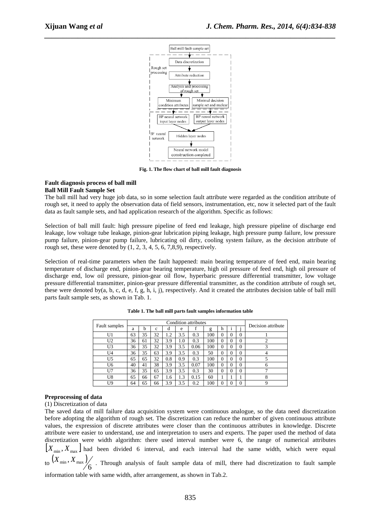

**Fig. 1. The flow chart of ball mill fault diagnosis**

## **Fault diagnosis process of ball mill Ball Mill Fault Sample Set**

The ball mill had very huge job data, so in some selection fault attribute were regarded as the condition attribute of rough set, it need to apply the observation data of field sensors, instrumentation, etc, now it selected part of the fault data as fault sample sets, and had application research of the algorithm. Specific as follows:

Selection of ball mill fault: high pressure pipeline of feed end leakage, high pressure pipeline of discharge end leakage, low voltage tube leakage, pinion-gear lubrication piping leakage, high pressure pump failure, low pressure pump failure, pinion-gear pump failure, lubricating oil dirty, cooling system failure, as the decision attribute of rough set, these were denoted by  $(1, 2, 3, 4, 5, 6, 7, 8, 9)$ , respectively.

Selection of real-time parameters when the fault happened: main bearing temperature of feed end, main bearing temperature of discharge end, pinion-gear bearing temperature, high oil pressure of feed end, high oil pressure of discharge end, low oil pressure, pinion-gear oil flow, hyperbaric pressure differential transmitter, low voltage pressure differential transmitter, pinion-gear pressure differential transmitter, as the condition attribute of rough set, these were denoted by(a, b, c, d, e, f, g, h, i, j), respectively. And it created the attributes decision table of ball mill parts fault sample sets, as shown in Tab. 1.

|               |    |    | Decision attribute |         |         |      |     |          |          |          |              |
|---------------|----|----|--------------------|---------|---------|------|-----|----------|----------|----------|--------------|
| Fault samples | a  | h  | c                  | đ       | e       |      | g   | h        |          |          |              |
| U1            | 63 | 35 | 32                 | $\cdot$ | 3.5     | 0.3  | 100 | $\Omega$ | $\theta$ | $\theta$ |              |
| U2            | 36 | 61 | 32                 | 3.9     | $1.0\,$ | 0.3  | 100 | $\Omega$ | $\Omega$ | $\theta$ |              |
| U3            | 36 | 35 | 32                 | 3.9     | 3.5     | 0.06 | 100 | $\Omega$ | $\Omega$ | $\theta$ | 3            |
| U4            | 36 | 35 | 63                 | 3.9     | 3.5     | 0.3  | 50  | 0        | $\theta$ | $\theta$ |              |
| U5            | 65 | 65 | 32                 | 0.8     | 0.9     | 0.3  | 100 | $\Omega$ | $\Omega$ | $\theta$ |              |
| U6            | 40 | 41 | 38                 | 3.9     | 3.5     | 0.07 | 100 | $\Omega$ | $\Omega$ | $\theta$ | h            |
| U7            | 36 | 35 | 65                 | 3.9     | 3.5     | 0.3  | 30  | 0        | $\Omega$ | $\theta$ |              |
| U8            | 65 | 66 | 67                 | 1.6     | .3      | 0.15 | 60  |          |          |          | $\circ$<br>δ |
| U9            | 64 | 65 | 66                 | 3.9     | 3.5     | 0.2  | 100 | 0        | O        | 0        |              |

**Table 1. The ball mill parts fault samples information table** 

## **Preprocessing of data**

(1) Discretization of data

The saved data of mill failure data acquisition system were continuous analogue, so the data need discretization before adopting the algorithm of rough set. The discretization can reduce the number of given continuous attribute values, the expression of discrete attributes were closer than the continuous attributes in knowledge. Discrete attribute were easier to understand, use and interpretation to users and experts. The paper used the method of data discretization were width algorithm: there used interval number were 6, the range of numerical attributes  $[X_{\min}, X_{\max}]$  had been divided 6 interval, and each interval had the same width, which were equal  $\left\langle X_{\min}, X_{\max} \right\rangle$  . Through analysis of fault sample data of mill, there had discretization to fault sample

information table with same width, after arrangement, as shown in Tab.2.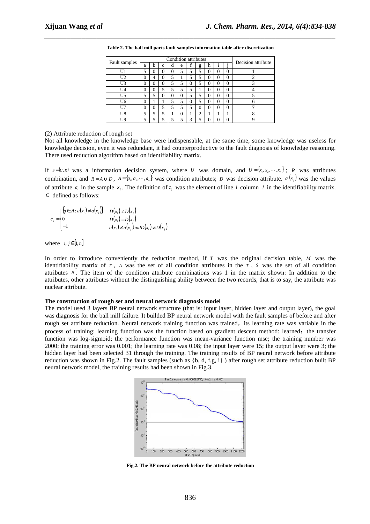| Fault samples  | Condition attributes |          |   |          |          |          |            |   |   |   | Decision attribute |  |
|----------------|----------------------|----------|---|----------|----------|----------|------------|---|---|---|--------------------|--|
|                | a                    | h        | c | đ        | e        |          | g          | h |   |   |                    |  |
| U1             | 5                    | $\Omega$ | 0 | 0        | 5        | 5        | 5          | 0 | 0 | 0 |                    |  |
| U <sub>2</sub> | 0                    | 4        | 0 | 5        |          | 5        | 5          | 0 |   | 0 | ◠                  |  |
| U3             | $\Omega$             | $\Omega$ | 0 | 5        | 5        | $\theta$ | 5          | 0 | 0 | 0 | 3                  |  |
| II4            | $\theta$             | $\theta$ | 5 | 5        | 5        | 5        |            | 0 | 0 | 0 |                    |  |
| U5             | 5                    | 5        | 0 | $\theta$ | $\theta$ | 5        | 5          | 0 | 0 | 0 |                    |  |
| U6             | $\theta$             |          |   | 5        | 5        | $\Omega$ | 5          |   | 0 | 0 |                    |  |
|                | $\Omega$             | $\Omega$ | 5 | 5        | 5        | 5        | 0          | 0 | 0 | 0 |                    |  |
| U8             | 5                    | 5        | 5 |          | $\Omega$ |          | $\bigcirc$ |   |   |   | $\Omega$<br>◠      |  |
| I TQ           | 5                    | ς        | c | c        | c        | 3        | c          |   |   |   |                    |  |

**Table 2. The ball mill parts fault samples information table after discretization** 

*\_\_\_\_\_\_\_\_\_\_\_\_\_\_\_\_\_\_\_\_\_\_\_\_\_\_\_\_\_\_\_\_\_\_\_\_\_\_\_\_\_\_\_\_\_\_\_\_\_\_\_\_\_\_\_\_\_\_\_\_\_\_\_\_\_\_\_\_\_\_\_\_\_\_\_\_\_\_*

### (2) Attribute reduction of rough set

Not all knowledge in the knowledge base were indispensable, at the same time, some knowledge was useless for knowledge decision, even it was redundant, it had counterproductive to the fault diagnosis of knowledge reasoning. There used reduction algorithm based on identifiability matrix.

If  $s = (U, R)$  was a information decision system, where *U* was domain, and  $U = \{x_1, x_2, \dots, x_n\}$ ; *R* was attributes combination, and  $R = A \cup D$ ,  $A = \{a_1, a_2, \dots, a_n\}$  was condition attributes; *D* was decision attribute.  $a_i(x_j)$  was the values of attribute  $a_i$  in the sample  $x_j$ . The definition of  $c_j$  was the element of line *i* column *j* in the identifiability matrix. *C* defined as follows:

$$
c_{ij} = \begin{cases} \{a \in A : a(x_i) \neq a(x_j)\} & D(x_i) \neq D(x_j) \\ 0 & D(x_i) = D(x_j) \\ -1 & a(x_i) \neq a(x_j) \text{ and } D(x_i) \neq D(x_j) \end{cases}
$$

where  $i, j \in [1, n]$ 

In order to introduce conveniently the reduction method, if *T* was the original decision table, *M* was the identifiability matrix of  $T$ ,  $A$  was the set of all condition attributes in the  $T$ ,  $S$  was the set of all condition attributes *B* . The item of the condition attribute combinations was 1 in the matrix shown: In addition to the attributes, other attributes without the distinguishing ability between the two records, that is to say, the attribute was nuclear attribute.

## **The construction of rough set and neural network diagnosis model**

The model used 3 layers BP neural network structure (that is: input layer, hidden layer and output layer), the goal was diagnosis for the ball mill failure. It builded BP neural network model with the fault samples of before and after rough set attribute reduction. Neural network training function was trained, its learning rate was variable in the process of training; learning function was the function based on gradient descent method: learned; the transfer function was log-sigmoid; the performance function was mean-variance function mse; the training number was 2000; the training error was 0.001; the learning rate was 0.08; the input layer were 15; the output layer were 3; the hidden layer had been selected 31 through the training. The training results of BP neural network before attribute reduction was shown in Fig.2. The fault samples (such as  $\{b, d, f, g, i\}$ ) after rough set attribute reduction built BP neural network model, the training results had been shown in Fig.3.



**Fig.2. The BP neural network before the attribute reduction**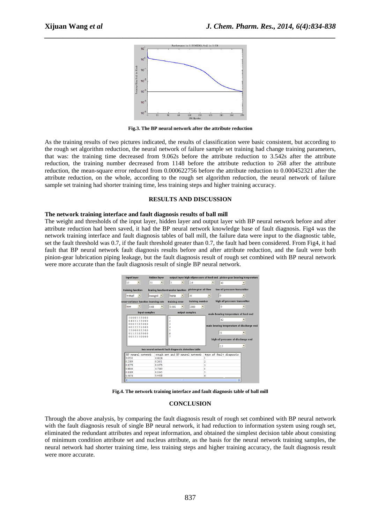

*\_\_\_\_\_\_\_\_\_\_\_\_\_\_\_\_\_\_\_\_\_\_\_\_\_\_\_\_\_\_\_\_\_\_\_\_\_\_\_\_\_\_\_\_\_\_\_\_\_\_\_\_\_\_\_\_\_\_\_\_\_\_\_\_\_\_\_\_\_\_\_\_\_\_\_\_\_\_*

**Fig.3. The BP neural network after the attribute reduction** 

As the training results of two pictures indicated, the results of classification were basic consistent, but according to the rough set algorithm reduction, the neural network of failure sample set training had change training parameters, that was: the training time decreased from 9.062s before the attribute reduction to 3.542s after the attribute reduction, the training number decreased from 1148 before the attribute reduction to 268 after the attribute reduction, the mean-square error reduced from 0.000622756 before the attribute reduction to 0.000452321 after the attribute reduction, on the whole, according to the rough set algorithm reduction, the neural network of failure sample set training had shorter training time, less training steps and higher training accuracy.

### **RESULTS AND DISCUSSION**

#### **The network training interface and fault diagnosis results of ball mill**

The weight and thresholds of the input layer, hidden layer and output layer with BP neural network before and after attribute reduction had been saved, it had the BP neural network knowledge base of fault diagnosis. Fig4 was the network training interface and fault diagnosis tables of ball mill, the failure data were input to the diagnostic table, set the fault threshold was 0.7, if the fault threshold greater than 0.7, the fault had been considered. From Fig4, it had fault that BP neural network fault diagnosis results before and after attribute reduction, and the fault were both pinion-gear lubrication piping leakage, but the fault diagnosis result of rough set combined with BP neural network were more accurate than the fault diagnosis result of single BP neural network.

| input layer                                                                                                              | hidden layer                             |                                                                                                                       |                                                            |                          |                                                                                                                                                    | output layer high oilpressure of feed end pinion-gear bearing temperature |  |  |  |
|--------------------------------------------------------------------------------------------------------------------------|------------------------------------------|-----------------------------------------------------------------------------------------------------------------------|------------------------------------------------------------|--------------------------|----------------------------------------------------------------------------------------------------------------------------------------------------|---------------------------------------------------------------------------|--|--|--|
| 15                                                                                                                       | 31                                       | 3<br>$\blacktriangledown$                                                                                             | 2.6                                                        |                          | 40                                                                                                                                                 |                                                                           |  |  |  |
| training function<br>trained<br>nean-variance function learning rate<br>mse<br>input samples<br>5000555000<br>0405155000 | $learnged$ $\blacktriangleright$<br>0.08 | learing functiontransfer function<br>logsig<br>$\blacktriangledown$<br>training error<br>0.001<br>output samples<br>2 | pinion-gear oil flow<br>30<br>training number<br>2000<br>٠ | $\overline{\phantom{a}}$ | low oil pressure transmitter<br>$\ddot{\mathbf{0}}$<br>high oil pressure transmitter<br>$\mathbf{0}$<br>main bearing temperature of feed end<br>62 |                                                                           |  |  |  |
| 0005505000<br>0055551000                                                                                                 |                                          | 3                                                                                                                     |                                                            |                          |                                                                                                                                                    | main bearing temperature of discharge end                                 |  |  |  |
| 5500005500<br>0115505000<br>0055550000                                                                                   |                                          | 5<br>6                                                                                                                |                                                            |                          | 51<br>high oil pressure of discharge end<br>2.5                                                                                                    | $\overline{\phantom{a}}$                                                  |  |  |  |
| two neural network fault diagnosis detection table                                                                       |                                          |                                                                                                                       |                                                            |                          |                                                                                                                                                    |                                                                           |  |  |  |
| BP neural network<br>0.0531                                                                                              | 0.0328                                   | rough set and BP neural network                                                                                       |                                                            |                          | type of fault diagnosis                                                                                                                            |                                                                           |  |  |  |
| 0.2389                                                                                                                   | 0.2651                                   |                                                                                                                       |                                                            |                          |                                                                                                                                                    |                                                                           |  |  |  |
| 0.1279                                                                                                                   | 0.1073                                   |                                                                                                                       |                                                            | 3                        |                                                                                                                                                    |                                                                           |  |  |  |
| 0.8846                                                                                                                   | 0.7365                                   |                                                                                                                       |                                                            | 4                        |                                                                                                                                                    |                                                                           |  |  |  |
| 0.1189                                                                                                                   | 0.1045                                   |                                                                                                                       |                                                            | 5                        |                                                                                                                                                    |                                                                           |  |  |  |
| 0.5678                                                                                                                   | 0.4438                                   |                                                                                                                       |                                                            | 6                        |                                                                                                                                                    |                                                                           |  |  |  |
| $\epsilon$                                                                                                               |                                          |                                                                                                                       |                                                            |                          |                                                                                                                                                    | $\overline{\phantom{a}}$                                                  |  |  |  |

**Fig.4. The network training interface and fault diagnosis table of ball mill** 

#### **CONCLUSION**

Through the above analysis, by comparing the fault diagnosis result of rough set combined with BP neural network with the fault diagnosis result of single BP neural network, it had reduction to information system using rough set, eliminated the redundant attributes and repeat information, and obtained the simplest decision table about consisting of minimum condition attribute set and nucleus attribute, as the basis for the neural network training samples, the neural network had shorter training time, less training steps and higher training accuracy, the fault diagnosis result were more accurate.